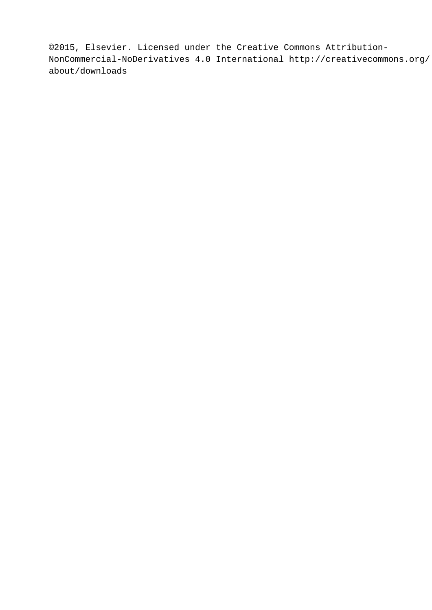©2015, Elsevier. Licensed under the Creative Commons Attribution-NonCommercial-NoDerivatives 4.0 International http://creativecommons.org/ about/downloads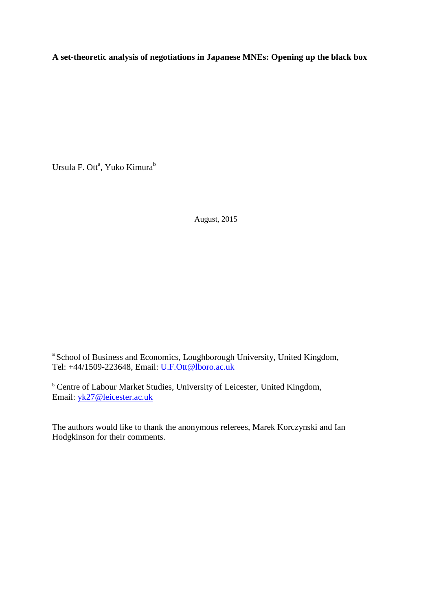**A set-theoretic analysis of negotiations in Japanese MNEs: Opening up the black box**

Ursula F. Ott<sup>a</sup>, Yuko Kimura<sup>b</sup>

August, 2015

a School of Business and Economics, Loughborough University, United Kingdom, Tel: +44/1509-223648, Email: [U.F.Ott@lboro.ac.uk](mailto:U.F.Ott@lboro.ac.uk)

**b** Centre of Labour Market Studies, University of Leicester, United Kingdom, Email: [yk27@leicester.ac.uk](mailto:yk27@leicester.ac.uk)

The authors would like to thank the anonymous referees, Marek Korczynski and Ian Hodgkinson for their comments.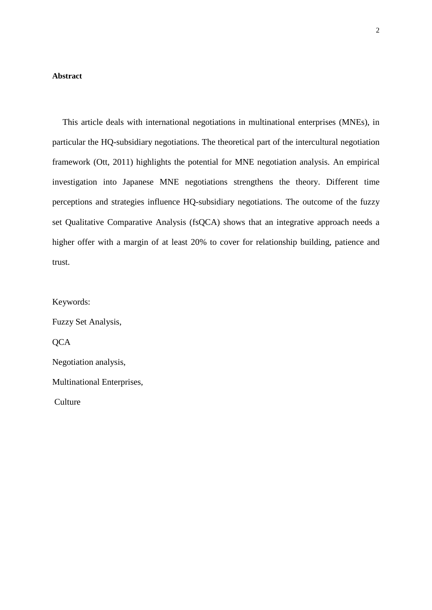## **Abstract**

This article deals with international negotiations in multinational enterprises (MNEs), in particular the HQ-subsidiary negotiations. The theoretical part of the intercultural negotiation framework (Ott, 2011) highlights the potential for MNE negotiation analysis. An empirical investigation into Japanese MNE negotiations strengthens the theory. Different time perceptions and strategies influence HQ-subsidiary negotiations. The outcome of the fuzzy set Qualitative Comparative Analysis (fsQCA) shows that an integrative approach needs a higher offer with a margin of at least 20% to cover for relationship building, patience and trust.

Keywords: Fuzzy Set Analysis, **QCA** Negotiation analysis, Multinational Enterprises, Culture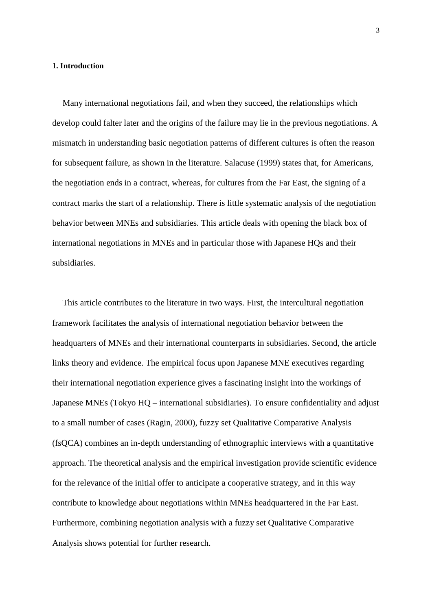## **1. Introduction**

Many international negotiations fail, and when they succeed, the relationships which develop could falter later and the origins of the failure may lie in the previous negotiations. A mismatch in understanding basic negotiation patterns of different cultures is often the reason for subsequent failure, as shown in the literature. Salacuse (1999) states that, for Americans, the negotiation ends in a contract, whereas, for cultures from the Far East, the signing of a contract marks the start of a relationship. There is little systematic analysis of the negotiation behavior between MNEs and subsidiaries. This article deals with opening the black box of international negotiations in MNEs and in particular those with Japanese HQs and their subsidiaries.

This article contributes to the literature in two ways. First, the intercultural negotiation framework facilitates the analysis of international negotiation behavior between the headquarters of MNEs and their international counterparts in subsidiaries. Second, the article links theory and evidence. The empirical focus upon Japanese MNE executives regarding their international negotiation experience gives a fascinating insight into the workings of Japanese MNEs (Tokyo HQ – international subsidiaries). To ensure confidentiality and adjust to a small number of cases (Ragin, 2000), fuzzy set Qualitative Comparative Analysis (fsQCA) combines an in-depth understanding of ethnographic interviews with a quantitative approach. The theoretical analysis and the empirical investigation provide scientific evidence for the relevance of the initial offer to anticipate a cooperative strategy, and in this way contribute to knowledge about negotiations within MNEs headquartered in the Far East. Furthermore, combining negotiation analysis with a fuzzy set Qualitative Comparative Analysis shows potential for further research.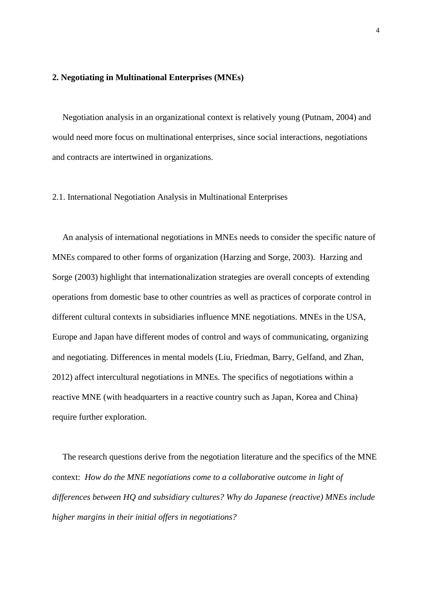#### **2. Negotiating in Multinational Enterprises (MNEs)**

Negotiation analysis in an organizational context is relatively young (Putnam, 2004) and would need more focus on multinational enterprises, since social interactions, negotiations and contracts are intertwined in organizations.

## 2.1. International Negotiation Analysis in Multinational Enterprises

An analysis of international negotiations in MNEs needs to consider the specific nature of MNEs compared to other forms of organization (Harzing and Sorge, 2003). Harzing and Sorge (2003) highlight that internationalization strategies are overall concepts of extending operations from domestic base to other countries as well as practices of corporate control in different cultural contexts in subsidiaries influence MNE negotiations. MNEs in the USA, Europe and Japan have different modes of control and ways of communicating, organizing and negotiating. Differences in mental models (Liu, Friedman, Barry, Gelfand, and Zhan, 2012) affect intercultural negotiations in MNEs. The specifics of negotiations within a reactive MNE (with headquarters in a reactive country such as Japan, Korea and China) require further exploration.

The research questions derive from the negotiation literature and the specifics of the MNE context: *How do the MNE negotiations come to a collaborative outcome in light of differences between HQ and subsidiary cultures? Why do Japanese (reactive) MNEs include higher margins in their initial offers in negotiations?*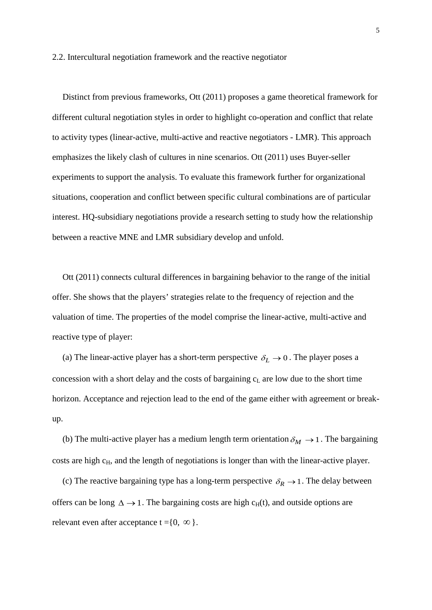#### 2.2. Intercultural negotiation framework and the reactive negotiator

Distinct from previous frameworks, Ott (2011) proposes a game theoretical framework for different cultural negotiation styles in order to highlight co-operation and conflict that relate to activity types (linear-active, multi-active and reactive negotiators - LMR). This approach emphasizes the likely clash of cultures in nine scenarios. Ott (2011) uses Buyer-seller experiments to support the analysis. To evaluate this framework further for organizational situations, cooperation and conflict between specific cultural combinations are of particular interest. HQ-subsidiary negotiations provide a research setting to study how the relationship between a reactive MNE and LMR subsidiary develop and unfold.

Ott (2011) connects cultural differences in bargaining behavior to the range of the initial offer. She shows that the players' strategies relate to the frequency of rejection and the valuation of time. The properties of the model comprise the linear-active, multi-active and reactive type of player:

(a) The linear-active player has a short-term perspective  $\delta_L \rightarrow 0$ . The player poses a concession with a short delay and the costs of bargaining  $c<sub>L</sub>$  are low due to the short time horizon. Acceptance and rejection lead to the end of the game either with agreement or breakup.

(b) The multi-active player has a medium length term orientation  $\delta_M \rightarrow 1$ . The bargaining costs are high c<sub>H</sub>, and the length of negotiations is longer than with the linear-active player.

(c) The reactive bargaining type has a long-term perspective  $\delta_R \rightarrow 1$ . The delay between offers can be long  $\Delta \rightarrow 1$ . The bargaining costs are high c<sub>H</sub>(t), and outside options are relevant even after acceptance  $t = \{0, \infty\}$ .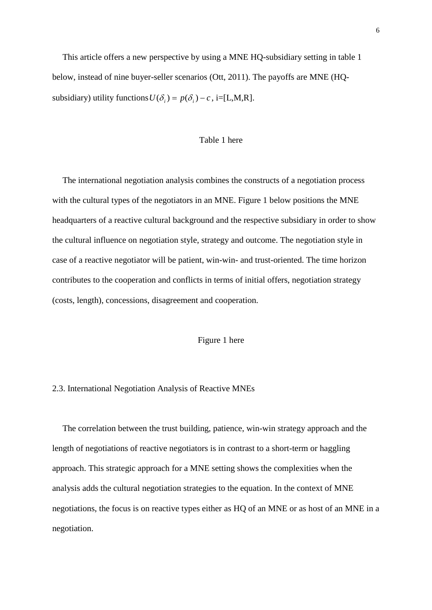This article offers a new perspective by using a MNE HQ-subsidiary setting in table 1 below, instead of nine buyer-seller scenarios (Ott, 2011). The payoffs are MNE (HQsubsidiary) utility functions  $U(\delta_i) = p(\delta_i) - c$ , i=[L,M,R].

## Table 1 here

The international negotiation analysis combines the constructs of a negotiation process with the cultural types of the negotiators in an MNE. Figure 1 below positions the MNE headquarters of a reactive cultural background and the respective subsidiary in order to show the cultural influence on negotiation style, strategy and outcome. The negotiation style in case of a reactive negotiator will be patient, win-win- and trust-oriented. The time horizon contributes to the cooperation and conflicts in terms of initial offers, negotiation strategy (costs, length), concessions, disagreement and cooperation.

## Figure 1 here

## 2.3. International Negotiation Analysis of Reactive MNEs

The correlation between the trust building, patience, win-win strategy approach and the length of negotiations of reactive negotiators is in contrast to a short-term or haggling approach. This strategic approach for a MNE setting shows the complexities when the analysis adds the cultural negotiation strategies to the equation. In the context of MNE negotiations, the focus is on reactive types either as HQ of an MNE or as host of an MNE in a negotiation.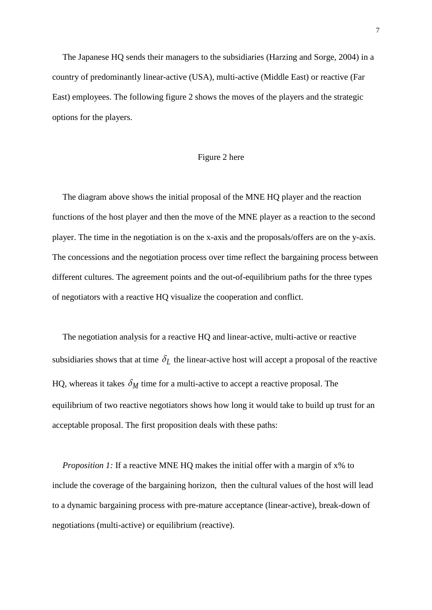The Japanese HQ sends their managers to the subsidiaries (Harzing and Sorge, 2004) in a country of predominantly linear-active (USA), multi-active (Middle East) or reactive (Far East) employees. The following figure 2 shows the moves of the players and the strategic options for the players.

## Figure 2 here

The diagram above shows the initial proposal of the MNE HQ player and the reaction functions of the host player and then the move of the MNE player as a reaction to the second player. The time in the negotiation is on the x-axis and the proposals/offers are on the y-axis. The concessions and the negotiation process over time reflect the bargaining process between different cultures. The agreement points and the out-of-equilibrium paths for the three types of negotiators with a reactive HQ visualize the cooperation and conflict.

The negotiation analysis for a reactive HQ and linear-active, multi-active or reactive subsidiaries shows that at time  $\delta_L$  the linear-active host will accept a proposal of the reactive HQ, whereas it takes  $\delta_M$  time for a multi-active to accept a reactive proposal. The equilibrium of two reactive negotiators shows how long it would take to build up trust for an acceptable proposal. The first proposition deals with these paths:

*Proposition 1:* If a reactive MNE HQ makes the initial offer with a margin of x% to include the coverage of the bargaining horizon, then the cultural values of the host will lead to a dynamic bargaining process with pre-mature acceptance (linear-active), break-down of negotiations (multi-active) or equilibrium (reactive).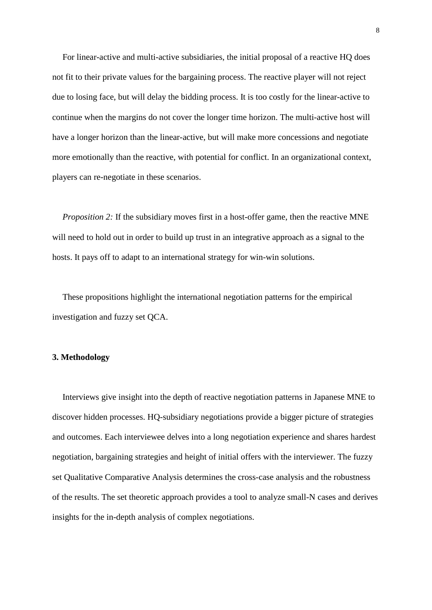For linear-active and multi-active subsidiaries, the initial proposal of a reactive HQ does not fit to their private values for the bargaining process. The reactive player will not reject due to losing face, but will delay the bidding process. It is too costly for the linear-active to continue when the margins do not cover the longer time horizon. The multi-active host will have a longer horizon than the linear-active, but will make more concessions and negotiate more emotionally than the reactive, with potential for conflict. In an organizational context, players can re-negotiate in these scenarios.

*Proposition 2:* If the subsidiary moves first in a host-offer game, then the reactive MNE will need to hold out in order to build up trust in an integrative approach as a signal to the hosts. It pays off to adapt to an international strategy for win-win solutions.

These propositions highlight the international negotiation patterns for the empirical investigation and fuzzy set QCA.

#### **3. Methodology**

Interviews give insight into the depth of reactive negotiation patterns in Japanese MNE to discover hidden processes. HQ-subsidiary negotiations provide a bigger picture of strategies and outcomes. Each interviewee delves into a long negotiation experience and shares hardest negotiation, bargaining strategies and height of initial offers with the interviewer. The fuzzy set Qualitative Comparative Analysis determines the cross-case analysis and the robustness of the results. The set theoretic approach provides a tool to analyze small-N cases and derives insights for the in-depth analysis of complex negotiations.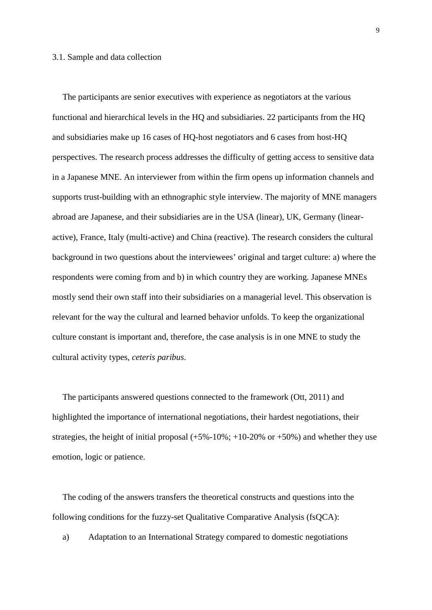#### 3.1. Sample and data collection

The participants are senior executives with experience as negotiators at the various functional and hierarchical levels in the HQ and subsidiaries. 22 participants from the HQ and subsidiaries make up 16 cases of HQ-host negotiators and 6 cases from host-HQ perspectives. The research process addresses the difficulty of getting access to sensitive data in a Japanese MNE. An interviewer from within the firm opens up information channels and supports trust-building with an ethnographic style interview. The majority of MNE managers abroad are Japanese, and their subsidiaries are in the USA (linear), UK, Germany (linearactive), France, Italy (multi-active) and China (reactive). The research considers the cultural background in two questions about the interviewees' original and target culture: a) where the respondents were coming from and b) in which country they are working. Japanese MNEs mostly send their own staff into their subsidiaries on a managerial level. This observation is relevant for the way the cultural and learned behavior unfolds. To keep the organizational culture constant is important and, therefore, the case analysis is in one MNE to study the cultural activity types, *ceteris paribus*.

The participants answered questions connected to the framework (Ott, 2011) and highlighted the importance of international negotiations, their hardest negotiations, their strategies, the height of initial proposal  $(+5\% -10\%; +10\text{-}20\% \text{ or } +50\%)$  and whether they use emotion, logic or patience.

The coding of the answers transfers the theoretical constructs and questions into the following conditions for the fuzzy-set Qualitative Comparative Analysis (fsQCA):

a) Adaptation to an International Strategy compared to domestic negotiations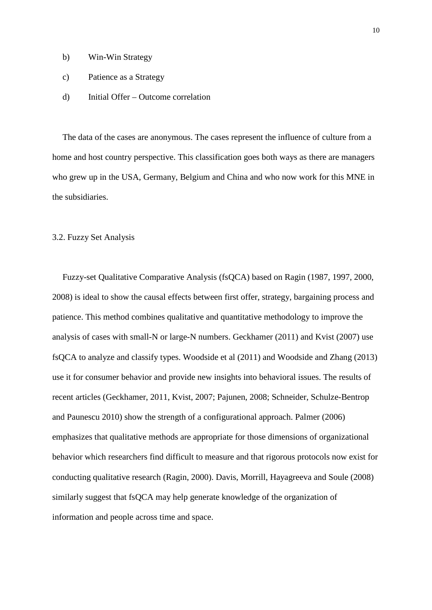- b) Win-Win Strategy
- c) Patience as a Strategy
- d) Initial Offer Outcome correlation

The data of the cases are anonymous. The cases represent the influence of culture from a home and host country perspective. This classification goes both ways as there are managers who grew up in the USA, Germany, Belgium and China and who now work for this MNE in the subsidiaries.

## 3.2. Fuzzy Set Analysis

Fuzzy-set Qualitative Comparative Analysis (fsQCA) based on Ragin (1987, 1997, 2000, 2008) is ideal to show the causal effects between first offer, strategy, bargaining process and patience. This method combines qualitative and quantitative methodology to improve the analysis of cases with small-N or large-N numbers. Geckhamer (2011) and Kvist (2007) use fsQCA to analyze and classify types. Woodside et al (2011) and Woodside and Zhang (2013) use it for consumer behavior and provide new insights into behavioral issues. The results of recent articles (Geckhamer, 2011, Kvist, 2007; Pajunen, 2008; Schneider, Schulze-Bentrop and Paunescu 2010) show the strength of a configurational approach. Palmer (2006) emphasizes that qualitative methods are appropriate for those dimensions of organizational behavior which researchers find difficult to measure and that rigorous protocols now exist for conducting qualitative research (Ragin, 2000). Davis, Morrill, Hayagreeva and Soule (2008) similarly suggest that fsQCA may help generate knowledge of the organization of information and people across time and space.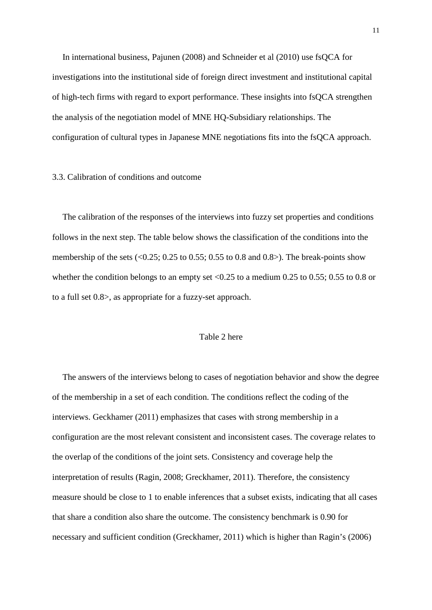In international business, Pajunen (2008) and Schneider et al (2010) use fsQCA for investigations into the institutional side of foreign direct investment and institutional capital of high-tech firms with regard to export performance. These insights into fsQCA strengthen the analysis of the negotiation model of MNE HQ-Subsidiary relationships. The configuration of cultural types in Japanese MNE negotiations fits into the fsQCA approach.

#### 3.3. Calibration of conditions and outcome

The calibration of the responses of the interviews into fuzzy set properties and conditions follows in the next step. The table below shows the classification of the conditions into the membership of the sets  $\langle 0.25; 0.25 \rangle$  to 0.55; 0.55 to 0.8 and 0.8>). The break-points show whether the condition belongs to an empty set  $\langle 0.25 \rangle$  to a medium 0.25 to 0.55; 0.55 to 0.8 or to a full set 0.8>, as appropriate for a fuzzy-set approach.

## Table 2 here

The answers of the interviews belong to cases of negotiation behavior and show the degree of the membership in a set of each condition. The conditions reflect the coding of the interviews. Geckhamer (2011) emphasizes that cases with strong membership in a configuration are the most relevant consistent and inconsistent cases. The coverage relates to the overlap of the conditions of the joint sets. Consistency and coverage help the interpretation of results (Ragin, 2008; Greckhamer, 2011). Therefore, the consistency measure should be close to 1 to enable inferences that a subset exists, indicating that all cases that share a condition also share the outcome. The consistency benchmark is 0.90 for necessary and sufficient condition (Greckhamer, 2011) which is higher than Ragin's (2006)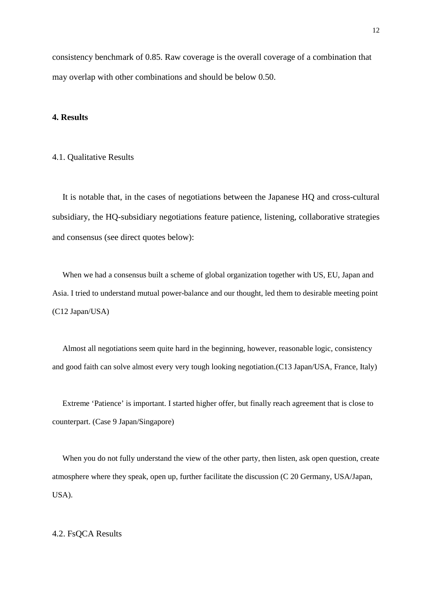consistency benchmark of 0.85. Raw coverage is the overall coverage of a combination that may overlap with other combinations and should be below 0.50.

## **4. Results**

## 4.1. Qualitative Results

It is notable that, in the cases of negotiations between the Japanese HQ and cross-cultural subsidiary, the HQ-subsidiary negotiations feature patience, listening, collaborative strategies and consensus (see direct quotes below):

When we had a consensus built a scheme of global organization together with US, EU, Japan and Asia. I tried to understand mutual power-balance and our thought, led them to desirable meeting point (C12 Japan/USA)

Almost all negotiations seem quite hard in the beginning, however, reasonable logic, consistency and good faith can solve almost every very tough looking negotiation.(C13 Japan/USA, France, Italy)

Extreme 'Patience' is important. I started higher offer, but finally reach agreement that is close to counterpart. (Case 9 Japan/Singapore)

When you do not fully understand the view of the other party, then listen, ask open question, create atmosphere where they speak, open up, further facilitate the discussion (C 20 Germany, USA/Japan, USA).

#### 4.2. FsQCA Results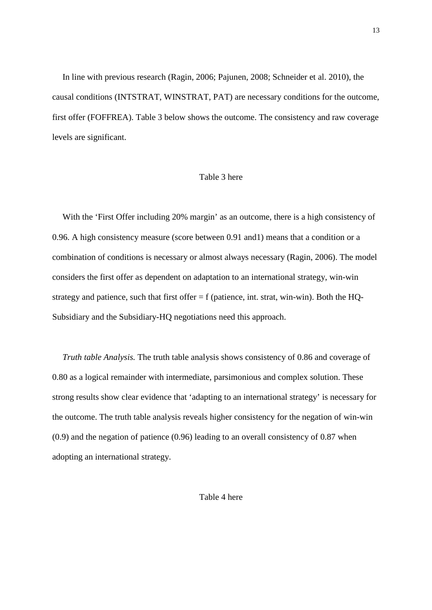In line with previous research (Ragin, 2006; Pajunen, 2008; Schneider et al. 2010), the causal conditions (INTSTRAT, WINSTRAT, PAT) are necessary conditions for the outcome, first offer (FOFFREA). Table 3 below shows the outcome. The consistency and raw coverage levels are significant.

#### Table 3 here

With the 'First Offer including 20% margin' as an outcome, there is a high consistency of 0.96. A high consistency measure (score between 0.91 and1) means that a condition or a combination of conditions is necessary or almost always necessary (Ragin, 2006). The model considers the first offer as dependent on adaptation to an international strategy, win-win strategy and patience, such that first offer  $= f$  (patience, int. strat, win-win). Both the HQ-Subsidiary and the Subsidiary-HQ negotiations need this approach.

*Truth table Analysis.* The truth table analysis shows consistency of 0.86 and coverage of 0.80 as a logical remainder with intermediate, parsimonious and complex solution. These strong results show clear evidence that 'adapting to an international strategy' is necessary for the outcome. The truth table analysis reveals higher consistency for the negation of win-win (0.9) and the negation of patience (0.96) leading to an overall consistency of 0.87 when adopting an international strategy.

Table 4 here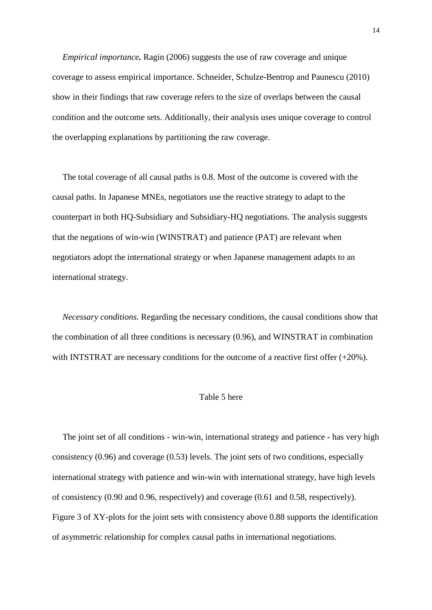*Empirical importance.* Ragin (2006) suggests the use of raw coverage and unique coverage to assess empirical importance. Schneider, Schulze-Bentrop and Paunescu (2010) show in their findings that raw coverage refers to the size of overlaps between the causal condition and the outcome sets. Additionally, their analysis uses unique coverage to control the overlapping explanations by partitioning the raw coverage.

The total coverage of all causal paths is 0.8. Most of the outcome is covered with the causal paths. In Japanese MNEs, negotiators use the reactive strategy to adapt to the counterpart in both HQ-Subsidiary and Subsidiary-HQ negotiations. The analysis suggests that the negations of win-win (WINSTRAT) and patience (PAT) are relevant when negotiators adopt the international strategy or when Japanese management adapts to an international strategy.

*Necessary conditions.* Regarding the necessary conditions, the causal conditions show that the combination of all three conditions is necessary (0.96), and WINSTRAT in combination with INTSTRAT are necessary conditions for the outcome of a reactive first offer  $(+20\%)$ .

#### Table 5 here

The joint set of all conditions - win-win, international strategy and patience - has very high consistency (0.96) and coverage (0.53) levels. The joint sets of two conditions, especially international strategy with patience and win-win with international strategy, have high levels of consistency (0.90 and 0.96, respectively) and coverage (0.61 and 0.58, respectively). Figure 3 of XY-plots for the joint sets with consistency above 0.88 supports the identification of asymmetric relationship for complex causal paths in international negotiations.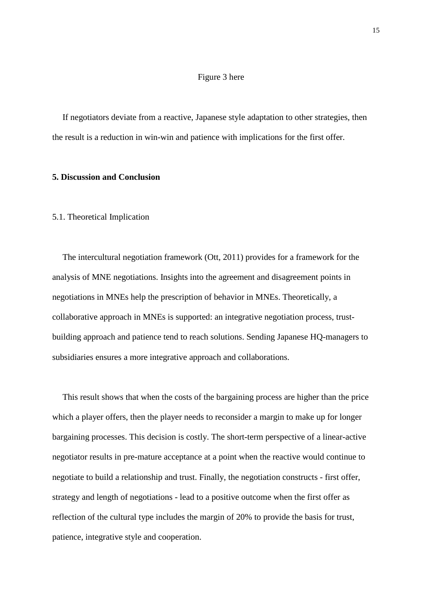## Figure 3 here

If negotiators deviate from a reactive, Japanese style adaptation to other strategies, then the result is a reduction in win-win and patience with implications for the first offer.

## **5. Discussion and Conclusion**

## 5.1. Theoretical Implication

The intercultural negotiation framework (Ott, 2011) provides for a framework for the analysis of MNE negotiations. Insights into the agreement and disagreement points in negotiations in MNEs help the prescription of behavior in MNEs. Theoretically, a collaborative approach in MNEs is supported: an integrative negotiation process, trustbuilding approach and patience tend to reach solutions. Sending Japanese HQ-managers to subsidiaries ensures a more integrative approach and collaborations.

This result shows that when the costs of the bargaining process are higher than the price which a player offers, then the player needs to reconsider a margin to make up for longer bargaining processes. This decision is costly. The short-term perspective of a linear-active negotiator results in pre-mature acceptance at a point when the reactive would continue to negotiate to build a relationship and trust. Finally, the negotiation constructs - first offer, strategy and length of negotiations - lead to a positive outcome when the first offer as reflection of the cultural type includes the margin of 20% to provide the basis for trust, patience, integrative style and cooperation.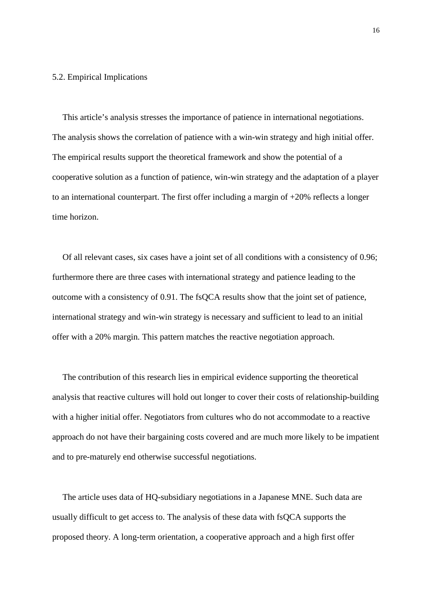## 5.2. Empirical Implications

This article's analysis stresses the importance of patience in international negotiations. The analysis shows the correlation of patience with a win-win strategy and high initial offer. The empirical results support the theoretical framework and show the potential of a cooperative solution as a function of patience, win-win strategy and the adaptation of a player to an international counterpart. The first offer including a margin of  $+20\%$  reflects a longer time horizon.

Of all relevant cases, six cases have a joint set of all conditions with a consistency of 0.96; furthermore there are three cases with international strategy and patience leading to the outcome with a consistency of 0.91. The fsQCA results show that the joint set of patience, international strategy and win-win strategy is necessary and sufficient to lead to an initial offer with a 20% margin. This pattern matches the reactive negotiation approach.

The contribution of this research lies in empirical evidence supporting the theoretical analysis that reactive cultures will hold out longer to cover their costs of relationship-building with a higher initial offer. Negotiators from cultures who do not accommodate to a reactive approach do not have their bargaining costs covered and are much more likely to be impatient and to pre-maturely end otherwise successful negotiations.

The article uses data of HQ-subsidiary negotiations in a Japanese MNE. Such data are usually difficult to get access to. The analysis of these data with fsQCA supports the proposed theory. A long-term orientation, a cooperative approach and a high first offer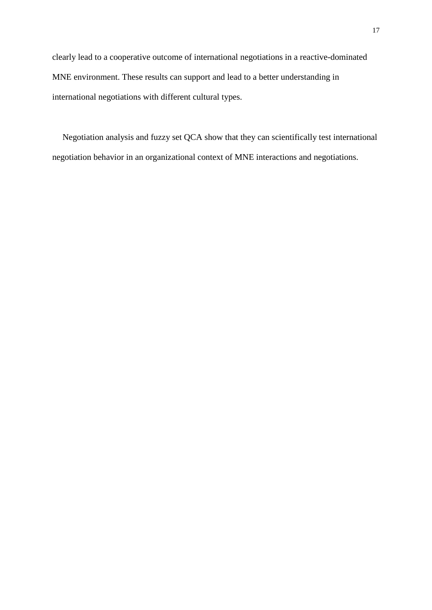clearly lead to a cooperative outcome of international negotiations in a reactive-dominated MNE environment. These results can support and lead to a better understanding in international negotiations with different cultural types.

Negotiation analysis and fuzzy set QCA show that they can scientifically test international negotiation behavior in an organizational context of MNE interactions and negotiations.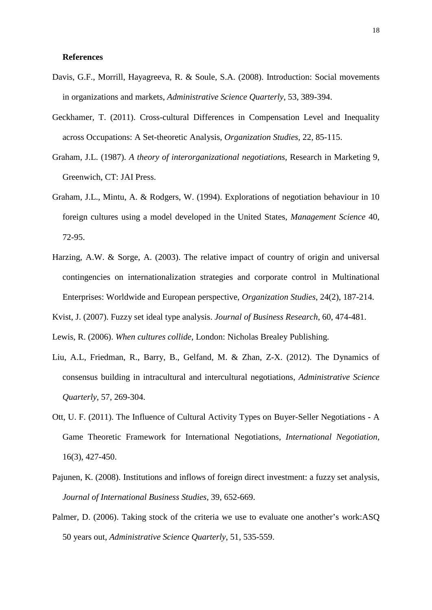## **References**

- Davis, G.F., Morrill, Hayagreeva, R. & Soule, S.A. (2008). Introduction: Social movements in organizations and markets, *Administrative Science Quarterly*, 53, 389-394.
- Geckhamer, T. (2011). Cross-cultural Differences in Compensation Level and Inequality across Occupations: A Set-theoretic Analysis, *Organization Studies*, 22, 85-115.
- Graham, J.L. (1987). *A theory of interorganizational negotiations,* Research in Marketing 9, Greenwich, CT: JAI Press.
- Graham, J.L., Mintu, A. & Rodgers, W. (1994). Explorations of negotiation behaviour in 10 foreign cultures using a model developed in the United States, *Management Science* 40, 72-95.
- Harzing, A.W. & Sorge, A. (2003). The relative impact of country of origin and universal contingencies on internationalization strategies and corporate control in Multinational Enterprises: Worldwide and European perspective, *Organization Studies*, 24(2), 187-214.
- Kvist, J. (2007). Fuzzy set ideal type analysis. *Journal of Business Research*, 60, 474-481.

Lewis, R. (2006). *When cultures collide*, London: Nicholas Brealey Publishing.

- Liu, A.L, Friedman, R., Barry, B., Gelfand, M. & Zhan, Z-X. (2012). The Dynamics of consensus building in intracultural and intercultural negotiations, *Administrative Science Quarterly*, 57, 269-304.
- Ott, U. F. (2011). The Influence of Cultural Activity Types on Buyer-Seller Negotiations A Game Theoretic Framework for International Negotiations, *International Negotiation,* 16(3), 427-450.
- Pajunen, K. (2008). Institutions and inflows of foreign direct investment: a fuzzy set analysis, *Journal of International Business Studies*, 39, 652-669.
- Palmer, D. (2006). Taking stock of the criteria we use to evaluate one another's work:ASQ 50 years out, *Administrative Science Quarterly*, 51, 535-559.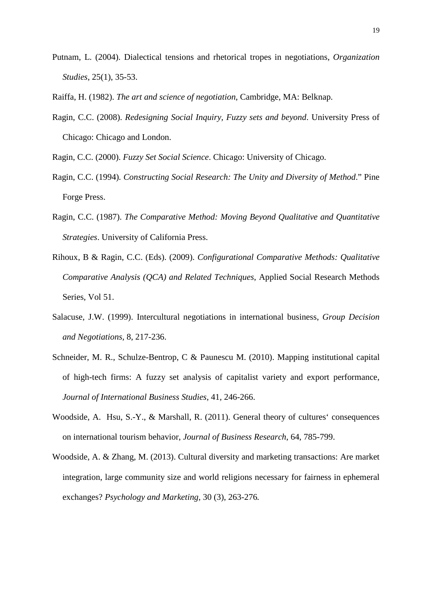- Putnam, L. (2004). Dialectical tensions and rhetorical tropes in negotiations, *Organization Studies*, 25(1), 35-53.
- Raiffa, H. (1982). *The art and science of negotiation*, Cambridge, MA: Belknap.
- Ragin, C.C. (2008). *Redesigning Social Inquiry, Fuzzy sets and beyond*. University Press of Chicago: Chicago and London.
- Ragin, C.C. (2000). *Fuzzy Set Social Science*. Chicago: University of Chicago.
- Ragin, C.C. (1994)*. Constructing Social Research: The Unity and Diversity of Method*." Pine Forge Press.
- Ragin, C.C. (1987). *The Comparative Method: Moving Beyond Qualitative and Quantitative Strategies*. University of California Press.
- Rihoux, B & Ragin, C.C. (Eds). (2009). *Configurational Comparative Methods: Qualitative Comparative Analysis (QCA) and Related Techniques*, Applied Social Research Methods Series, Vol 51.
- Salacuse, J.W. (1999). Intercultural negotiations in international business, *Group Decision and Negotiations,* 8, 217-236.
- Schneider, M. R., Schulze-Bentrop, C & Paunescu M. (2010). Mapping institutional capital of high-tech firms: A fuzzy set analysis of capitalist variety and export performance, *Journal of International Business Studies*, 41, 246-266.
- Woodside, A. Hsu, S.-Y., & Marshall, R. (2011). General theory of cultures' consequences on international tourism behavior, *Journal of Business Research*, 64, 785-799.
- Woodside, A. & Zhang, M. (2013). Cultural diversity and marketing transactions: Are market integration, large community size and world religions necessary for fairness in ephemeral exchanges? *Psychology and Marketing,* 30 (3), 263-276*.*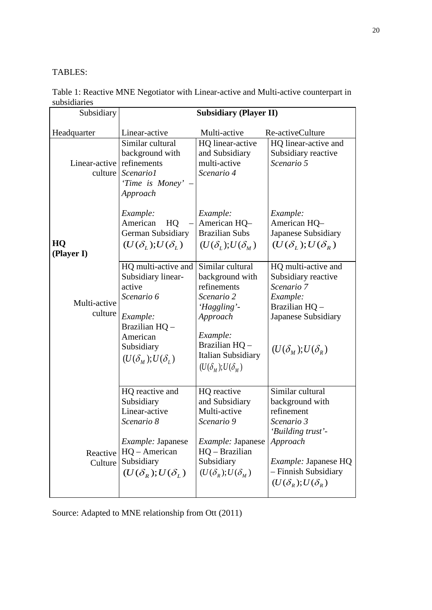## TABLES:

Table 1: Reactive MNE Negotiator with Linear-active and Multi-active counterpart in subsidiaries

| Subsidiary               | <b>Subsidiary (Player II)</b>                                                                                                                                 |                                                                                                                                                                                       |                                                                                                                                                                                            |  |
|--------------------------|---------------------------------------------------------------------------------------------------------------------------------------------------------------|---------------------------------------------------------------------------------------------------------------------------------------------------------------------------------------|--------------------------------------------------------------------------------------------------------------------------------------------------------------------------------------------|--|
| Headquarter              | Linear-active                                                                                                                                                 | Multi-active                                                                                                                                                                          | Re-activeCulture                                                                                                                                                                           |  |
| Linear-active<br>culture | Similar cultural<br>background with<br>refinements<br>Scenario1<br>'Time is Money' -<br>Approach                                                              | HQ linear-active<br>and Subsidiary<br>multi-active<br>Scenario 4                                                                                                                      | HQ linear-active and<br>Subsidiary reactive<br>Scenario 5                                                                                                                                  |  |
| HQ<br>(Player I)         | Example:<br>American<br>HQ<br>German Subsidiary<br>$(U(\delta_{L});U(\delta_{L}))$                                                                            | Example:<br>American HQ-<br><b>Brazilian Subs</b><br>$(U(\delta_L);U(\delta_M))$                                                                                                      | Example:<br>American HQ-<br>Japanese Subsidiary<br>$(U(\delta_{L}); U(\delta_{R}))$                                                                                                        |  |
| Multi-active<br>culture  | HQ multi-active and<br>Subsidiary linear-<br>active<br>Scenario 6<br>Example:<br>Brazilian HQ -<br>American<br>Subsidiary<br>$(U(\delta_u);U(\delta_u))$      | Similar cultural<br>background with<br>refinements<br>Scenario 2<br>'Haggling'-<br>Approach<br>Example:<br>Brazilian HQ -<br><b>Italian Subsidiary</b><br>$(U(\delta_u);U(\delta_u))$ | HQ multi-active and<br>Subsidiary reactive<br>Scenario 7<br>Example:<br>Brazilian HQ -<br>Japanese Subsidiary<br>$(U(\delta_{M});U(\delta_{R}))$                                           |  |
| Reactive<br>Culture      | HQ reactive and<br>Subsidiary<br>Linear-active<br>Scenario 8<br><i>Example: Japanese</i><br>$HQ - American$<br>Subsidiary<br>$(U(\delta_{R}); U(\delta_{L}))$ | HQ reactive<br>and Subsidiary<br>Multi-active<br>Scenario 9<br>Example: Japanese<br>$HQ - Brazilian$<br>Subsidiary<br>$(U(\delta_{R}); U(\delta_{M}))$                                | Similar cultural<br>background with<br>refinement<br>Scenario 3<br>'Building trust'<br>Approach<br><i>Example:</i> Japanese HQ<br>- Finnish Subsidiary<br>$(U(\delta_{R}); U(\delta_{R}))$ |  |

Source: Adapted to MNE relationship from Ott (2011)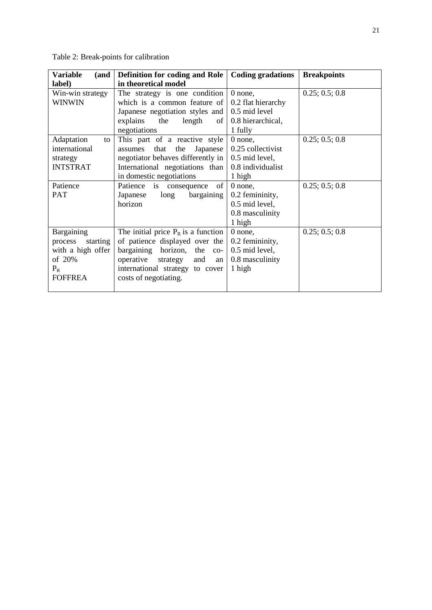Table 2: Break-points for calibration

| <b>Variable</b><br>(and | Definition for coding and Role        | <b>Coding gradations</b> | <b>Breakpoints</b> |
|-------------------------|---------------------------------------|--------------------------|--------------------|
| label)                  | in theoretical model                  |                          |                    |
| Win-win strategy        | The strategy is one condition         | 0 none,                  | 0.25; 0.5; 0.8     |
| <b>WINWIN</b>           | which is a common feature of          | 0.2 flat hierarchy       |                    |
|                         | Japanese negotiation styles and       | 0.5 mid level            |                    |
|                         | the<br>length<br>explains<br>of       | 0.8 hierarchical,        |                    |
|                         | negotiations                          | 1 fully                  |                    |
| Adaptation<br>to        | This part of a reactive style         | 0 none,                  | 0.25; 0.5; 0.8     |
| international           | that<br>the Japanese<br>assumes       | 0.25 collectivist        |                    |
| strategy                | negotiator behaves differently in     | 0.5 mid level,           |                    |
| <b>INTSTRAT</b>         | International negotiations than       | 0.8 individualist        |                    |
|                         | in domestic negotiations              | 1 high                   |                    |
| Patience                | Patience is consequence<br>of         | $0$ none,                | 0.25; 0.5; 0.8     |
| PAT                     | bargaining<br>long<br>Japanese        | 0.2 femininity,          |                    |
|                         | horizon                               | 0.5 mid level,           |                    |
|                         |                                       | 0.8 masculinity          |                    |
|                         |                                       | 1 high                   |                    |
| Bargaining              | The initial price $P_R$ is a function | 0 none,                  | 0.25; 0.5; 0.8     |
| starting<br>process     | of patience displayed over the        | 0.2 femininity,          |                    |
| with a high offer       | bargaining horizon, the co-           | 0.5 mid level,           |                    |
| of 20%                  | operative<br>strategy<br>and<br>an    | 0.8 masculinity          |                    |
| $P_R$                   | international strategy to cover       | 1 high                   |                    |
| <b>FOFFREA</b>          | costs of negotiating.                 |                          |                    |
|                         |                                       |                          |                    |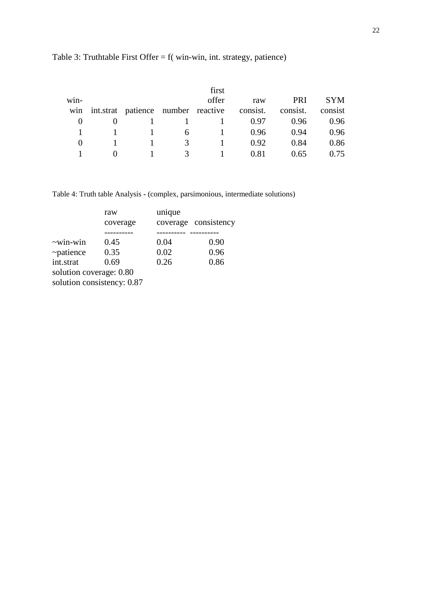|      |                                    |   | first |          |            |            |
|------|------------------------------------|---|-------|----------|------------|------------|
| win- |                                    |   | offer | raw      | <b>PRI</b> | <b>SYM</b> |
| win  | int.strat patience number reactive |   |       | consist. | consist.   | consist    |
|      |                                    |   |       | 0.97     | 0.96       | 0.96       |
|      |                                    | 6 |       | 0.96     | 0.94       | 0.96       |
|      |                                    | 3 |       | 0.92     | 0.84       | 0.86       |
|      |                                    |   |       | 0.81     | 0.65       | 0.75       |

# Table 3: Truthtable First Offer = f( win-win, int. strategy, patience)

Table 4: Truth table Analysis **-** (complex, parsimonious, intermediate solutions)

|                         | raw                        | unique |                      |
|-------------------------|----------------------------|--------|----------------------|
|                         | coverage                   |        | coverage consistency |
|                         |                            |        |                      |
| $\sim$ win-win          | 0.45                       | 0.04   | 0.90                 |
| $\sim$ patience         | 0.35                       | 0.02   | 0.96                 |
| int.strat               | 0.69                       | 0.26   | 0.86                 |
| solution coverage: 0.80 |                            |        |                      |
|                         | solution consistency: 0.87 |        |                      |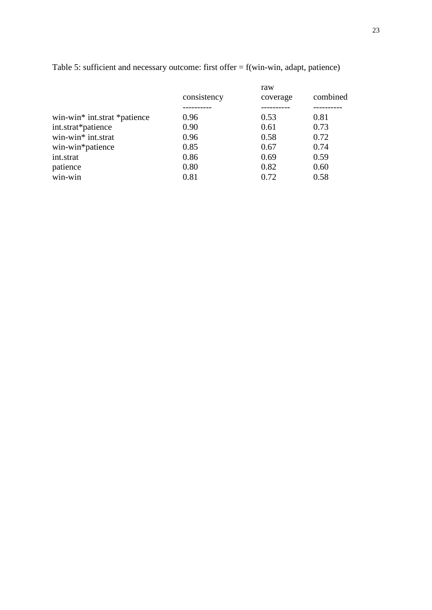|                              |             | raw      | combined |
|------------------------------|-------------|----------|----------|
|                              | consistency | coverage |          |
|                              |             |          |          |
| win-win* int.strat *patience | 0.96        | 0.53     | 0.81     |
| int.strat*patience           | 0.90        | 0.61     | 0.73     |
| win-win* int.strat           | 0.96        | 0.58     | 0.72     |
| win-win*patience             | 0.85        | 0.67     | 0.74     |
| int.strat                    | 0.86        | 0.69     | 0.59     |
| patience                     | 0.80        | 0.82     | 0.60     |
| win-win                      | 0.81        | 0.72     | 0.58     |
|                              |             |          |          |

Table 5: sufficient and necessary outcome: first offer = f(win-win, adapt, patience)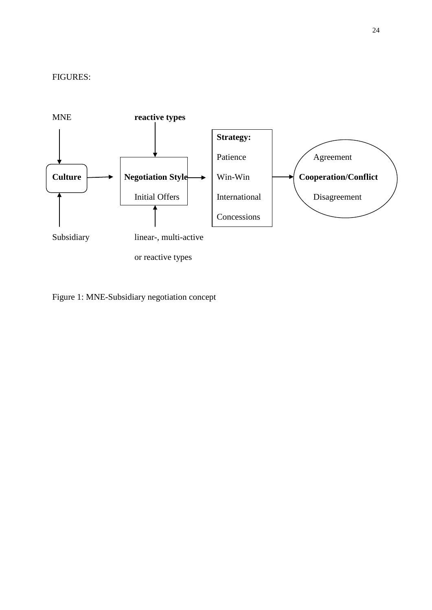

Figure 1: MNE-Subsidiary negotiation concept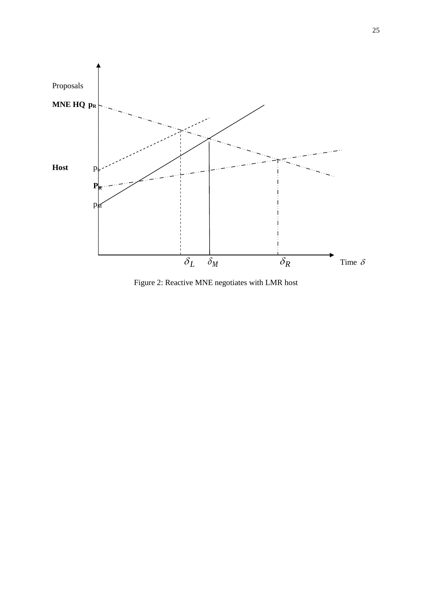

Figure 2: Reactive MNE negotiates with LMR host